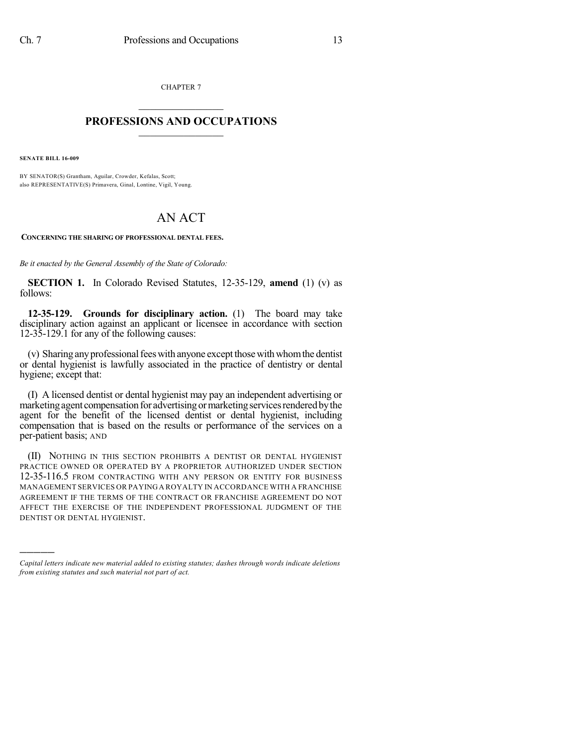CHAPTER 7

## $\mathcal{L}_\text{max}$  . The set of the set of the set of the set of the set of the set of the set of the set of the set of the set of the set of the set of the set of the set of the set of the set of the set of the set of the set **PROFESSIONS AND OCCUPATIONS**  $\frac{1}{2}$  ,  $\frac{1}{2}$  ,  $\frac{1}{2}$  ,  $\frac{1}{2}$  ,  $\frac{1}{2}$  ,  $\frac{1}{2}$  ,  $\frac{1}{2}$

**SENATE BILL 16-009**

)))))

BY SENATOR(S) Grantham, Aguilar, Crowder, Kefalas, Scott; also REPRESENTATIVE(S) Primavera, Ginal, Lontine, Vigil, Young.

## AN ACT

**CONCERNING THE SHARING OF PROFESSIONAL DENTAL FEES.**

*Be it enacted by the General Assembly of the State of Colorado:*

**SECTION 1.** In Colorado Revised Statutes, 12-35-129, **amend** (1) (v) as follows:

**12-35-129. Grounds for disciplinary action.** (1) The board may take disciplinary action against an applicant or licensee in accordance with section 12-35-129.1 for any of the following causes:

(v) Sharing any professional fees with anyone except those with whom the dentist or dental hygienist is lawfully associated in the practice of dentistry or dental hygiene; except that:

(I) A licensed dentist or dental hygienist may pay an independent advertising or marketing agent compensation for advertising or marketing services rendered by the agent for the benefit of the licensed dentist or dental hygienist, including compensation that is based on the results or performance of the services on a per-patient basis; AND

(II) NOTHING IN THIS SECTION PROHIBITS A DENTIST OR DENTAL HYGIENIST PRACTICE OWNED OR OPERATED BY A PROPRIETOR AUTHORIZED UNDER SECTION 12-35-116.5 FROM CONTRACTING WITH ANY PERSON OR ENTITY FOR BUSINESS MANAGEMENT SERVICES OR PAYINGA ROYALTY IN ACCORDANCE WITH A FRANCHISE AGREEMENT IF THE TERMS OF THE CONTRACT OR FRANCHISE AGREEMENT DO NOT AFFECT THE EXERCISE OF THE INDEPENDENT PROFESSIONAL JUDGMENT OF THE DENTIST OR DENTAL HYGIENIST.

*Capital letters indicate new material added to existing statutes; dashes through words indicate deletions from existing statutes and such material not part of act.*